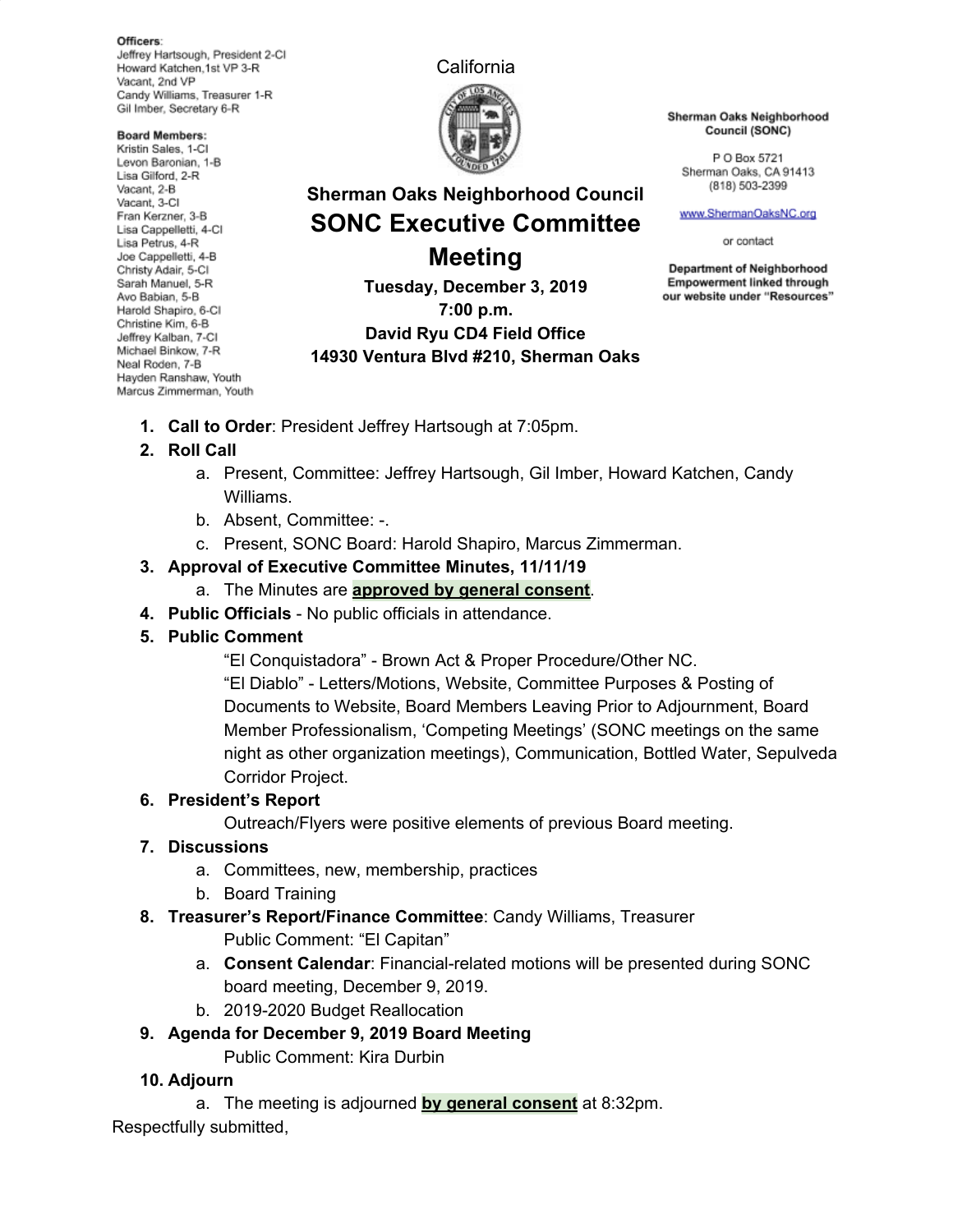Officers: Jeffrey Hartsough, President 2-CI Howard Katchen, 1st VP 3-R Vacant, 2nd VP Candy Williams, Treasurer 1-R Gil Imber, Secretary 6-R

**Board Members:** Kristin Sales, 1-Cl Levon Baronian, 1-B Lisa Gilford, 2-R Vacant, 2-B Vacant. 3-CI Fran Kerzner, 3-B Lisa Cappelletti, 4-Cl Lisa Petrus, 4-R Joe Cappelletti, 4-B Christy Adair, 5-Cl Sarah Manuel, 5-R Avo Babian, 5-B Harold Shapiro, 6-Cl Christine Kim, 6-B Jeffrey Kalban, 7-Cl Michael Binkow, 7-R Neal Roden, 7-B Hayden Ranshaw, Youth Marcus Zimmerman, Youth California



**Sherman Oaks Neighborhood Council SONC Executive Committee**

**Meeting Tuesday, December 3, 2019 7:00 p.m. David Ryu CD4 Field Office 14930 Ventura Blvd #210, Sherman Oaks** Sherman Oaks Neighborhood Council (SONC)

P O Box 5721 Sherman Oaks, CA 91413 (818) 503-2399

www.ShermanOaksNC.org

or contact

**Department of Neighborhood Empowerment linked through** our website under "Resources"

**1. Call to Order**: President Jeffrey Hartsough at 7:05pm.

# **2. Roll Call**

- a. Present, Committee: Jeffrey Hartsough, Gil Imber, Howard Katchen, Candy Williams.
- b. Absent, Committee: -.
- c. Present, SONC Board: Harold Shapiro, Marcus Zimmerman.

## **3. Approval of Executive Committee Minutes, 11/11/19**

- a. The Minutes are **approved by general consent**.
- **4. Public Officials** No public officials in attendance.

# **5. Public Comment**

"El Conquistadora" - Brown Act & Proper Procedure/Other NC.

"El Diablo" - Letters/Motions, Website, Committee Purposes & Posting of Documents to Website, Board Members Leaving Prior to Adjournment, Board Member Professionalism, 'Competing Meetings' (SONC meetings on the same night as other organization meetings), Communication, Bottled Water, Sepulveda Corridor Project.

# **6. President's Report**

Outreach/Flyers were positive elements of previous Board meeting.

- **7. Discussions**
	- a. Committees, new, membership, practices
	- b. Board Training
- **8. Treasurer's Report/Finance Committee**: Candy Williams, Treasurer Public Comment: "El Capitan"
	- a. **Consent Calendar**: Financial-related motions will be presented during SONC board meeting, December 9, 2019.
	- b. 2019-2020 Budget Reallocation

# **9. Agenda for December 9, 2019 Board Meeting**

Public Comment: Kira Durbin

# **10. Adjourn**

a. The meeting is adjourned **by general consent** at 8:32pm.

Respectfully submitted,